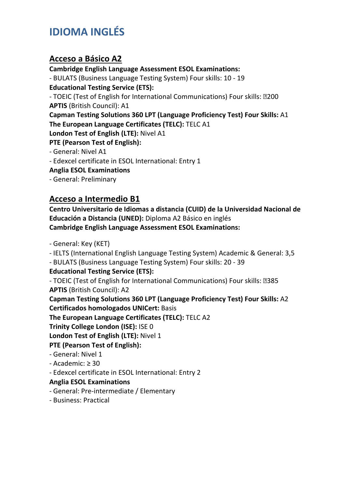# **IDIOMA INGLÉS**

## **Acceso a Básico A2**

**Cambridge English Language Assessment ESOL Examinations:** 

- BULATS (Business Language Testing System) Four skills: 10 - 19

**Educational Testing Service (ETS):** 

- TOEIC (Test of English for International Communications) Four skills: 200 **APTIS** (British Council): A1

**Capman Testing Solutions 360 LPT (Language Proficiency Test) Four Skills:** A1 **The European Language Certificates (TELC):** TELC A1

**London Test of English (LTE):** Nivel A1

#### **PTE (Pearson Test of English):**

- General: Nivel A1

- Edexcel certificate in ESOL International: Entry 1

**Anglia ESOL Examinations** 

- General: Preliminary

## **Acceso a Intermedio B1**

**Centro Universitario de Idiomas a distancia (CUID) de la Universidad Nacional de Educación a Distancia (UNED):** Diploma A2 Básico en inglés **Cambridge English Language Assessment ESOL Examinations:** 

- General: Key (KET)

- IELTS (International English Language Testing System) Academic & General: 3,5

- BULATS (Business Language Testing System) Four skills: 20 - 39

### **Educational Testing Service (ETS):**

- TOEIC (Test of English for International Communications) Four skills: 2385 **APTIS** (British Council): A2

**Capman Testing Solutions 360 LPT (Language Proficiency Test) Four Skills:** A2

**Certificados homologados UNICert:** Basis

**The European Language Certificates (TELC):** TELC A2

**Trinity College London (ISE):** ISE 0

**London Test of English (LTE):** Nivel 1

### **PTE (Pearson Test of English):**

- General: Nivel 1
- Academic: ≥ 30

- Edexcel certificate in ESOL International: Entry 2

### **Anglia ESOL Examinations**

- General: Pre-intermediate / Elementary

- Business: Practical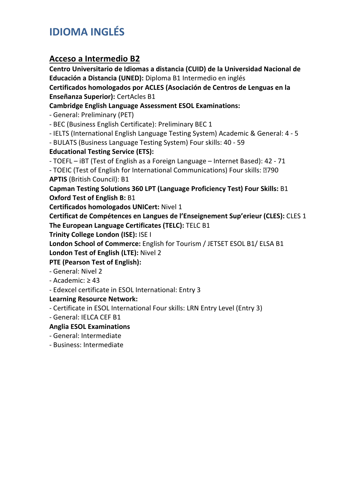# **IDIOMA INGLÉS**

## **Acceso a Intermedio B2**

**Centro Universitario de Idiomas a distancia (CUID) de la Universidad Nacional de Educación a Distancia (UNED):** Diploma B1 Intermedio en inglés **Certificados homologados por ACLES (Asociación de Centros de Lenguas en la Enseñanza Superior):** CertAcles B1 **Cambridge English Language Assessment ESOL Examinations:**  - General: Preliminary (PET) - BEC (Business English Certificate): Preliminary BEC 1 - IELTS (International English Language Testing System) Academic & General: 4 - 5 - BULATS (Business Language Testing System) Four skills: 40 - 59 **Educational Testing Service (ETS):**  - TOEFL – iBT (Test of English as a Foreign Language – Internet Based): 42 - 71 - TOEIC (Test of English for International Communications) Four skills: 2790 **APTIS** (British Council): B1 **Capman Testing Solutions 360 LPT (Language Proficiency Test) Four Skills:** B1 **Oxford Test of English B:** B1 **Certificados homologados UNICert:** Nivel 1 **Certificat de Compétences en Langues de l'Enseignement Sup'erieur (CLES):** CLES 1 **The European Language Certificates (TELC):** TELC B1 **Trinity College London (ISE):** ISE I **London School of Commerce:** English for Tourism / JETSET ESOL B1/ ELSA B1 **London Test of English (LTE):** Nivel 2 **PTE (Pearson Test of English):**  - General: Nivel 2 - Academic: ≥ 43 - Edexcel certificate in ESOL International: Entry 3 **Learning Resource Network:**  - Certificate in ESOL International Four skills: LRN Entry Level (Entry 3) - General: IELCA CEF B1

**Anglia ESOL Examinations** 

- General: Intermediate

- Business: Intermediate